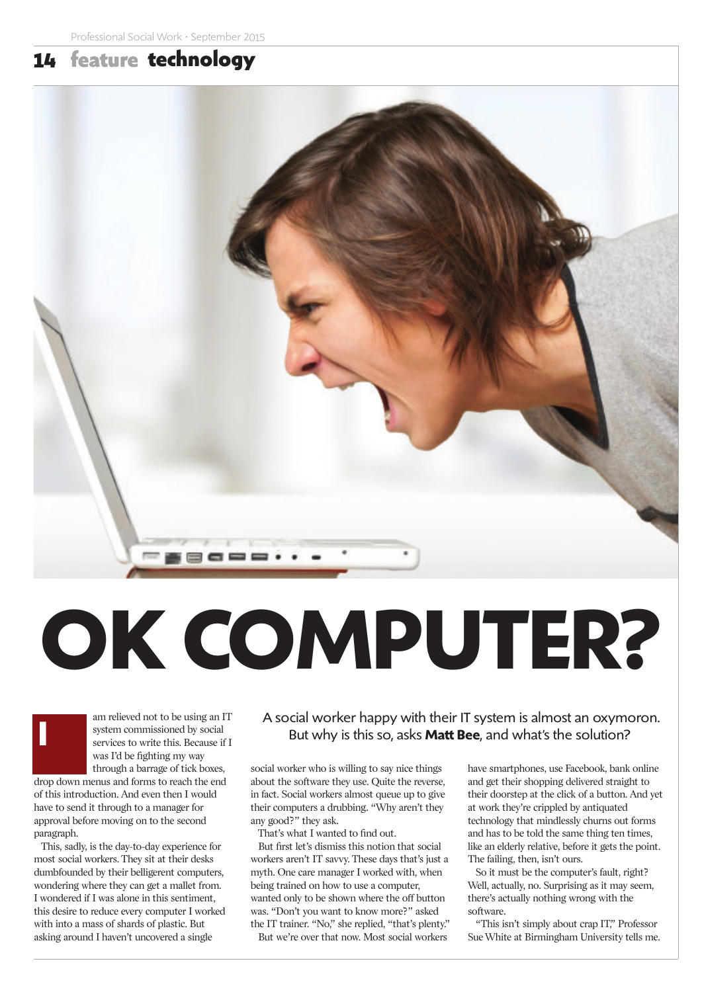## 14 feature **technology**



# **OK COMPUTER?**



am relieved not to be using an IT system commissioned by social services to write this. Because if I was I'd be fighting my way through a barrage of tick boxes,

drop down menus and forms to reach the end of this introduction. And even then I would have to send it through to a manager for approval before moving on to the second paragraph.

This, sadly, is the day-to-day experience for most social workers. They sit at their desks dumbfounded by their belligerent computers, wondering where they can get a mallet from. I wondered if I was alone in this sentiment, this desire to reduce every computer I worked with into a mass of shards of plastic. But asking around I haven't uncovered a single

A social worker happy with their IT system is almost an oxymoron. But why is this so, asks **Matt Bee**, and what's the solution?

social worker who is willing to say nice things about the software they use. Quite the reverse, in fact. Social workers almost queue up to give their computers a drubbing. "Why aren't they any good?" they ask.

That's what I wanted to find out.

But first let's dismiss this notion that social workers aren't IT savvy. These days that's just a myth. One care manager I worked with, when being trained on how to use a computer, wanted only to be shown where the off button was. "Don't you want to know more?" asked the IT trainer. "No," she replied, "that's plenty."

But we're over that now. Most social workers

have smartphones, use Facebook, bank online and get their shopping delivered straight to their doorstep at the click of a button. And yet at work they're crippled by antiquated technology that mindlessly churns out forms and has to be told the same thing ten times, like an elderly relative, before it gets the point. The failing, then, isn't ours.

So it must be the computer's fault, right? Well, actually, no. Surprising as it may seem, there's actually nothing wrong with the software.

"This isn't simply about crap IT," Professor Sue White at Birmingham University tells me.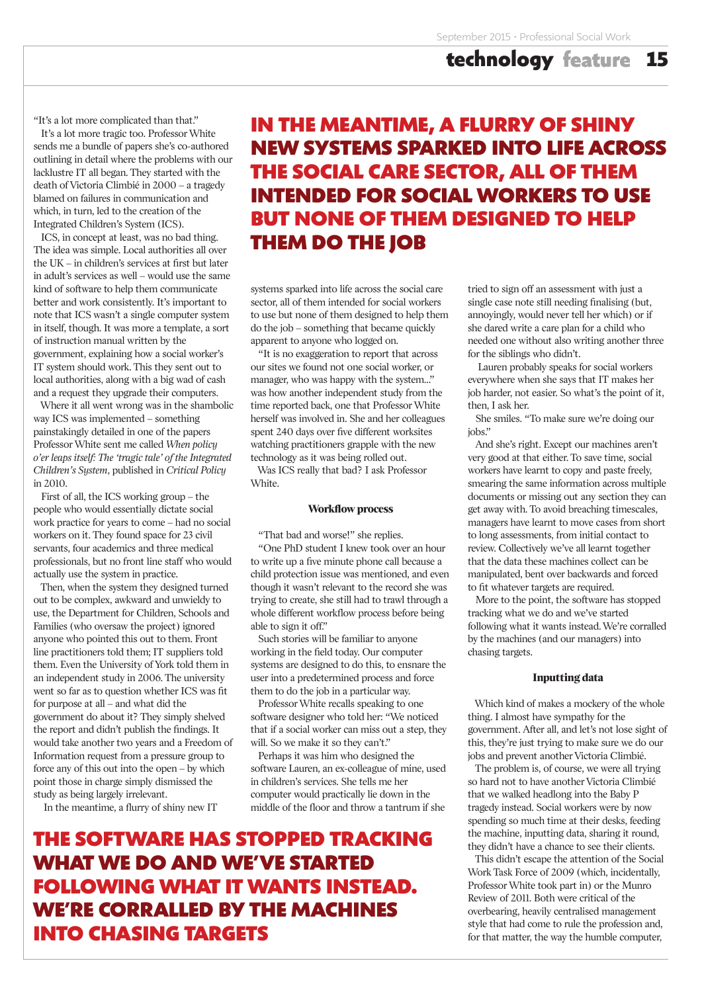"It's a lot more complicated than that."

It's a lot more tragic too. Professor White sends me a bundle of papers she's co-authored outlining in detail where the problems with our lacklustre IT all began. They started with the death of Victoria Climbié in 2000 – a tragedy blamed on failures in communication and which, in turn, led to the creation of the Integrated Children's System (ICS).

ICS, in concept at least, was no bad thing. The idea was simple. Local authorities all over the UK – in children's services at first but later in adult's services as well – would use the same kind of software to help them communicate better and work consistently. It's important to note that ICS wasn't a single computer system in itself, though. It was more a template, a sort of instruction manual written by the government, explaining how a social worker's IT system should work. This they sent out to local authorities, along with a big wad of cash and a request they upgrade their computers.

Where it all went wrong was in the shambolic way ICS was implemented – something painstakingly detailed in one of the papers Professor White sent me called *When policy o'er leaps itself: The 'tragic tale' of the Integrated Children's System*, published in *Critical Policy* in 2010.

First of all, the ICS working group – the people who would essentially dictate social work practice for years to come – had no social workers on it. They found space for 23 civil servants, four academics and three medical professionals, but no front line staff who would actually use the system in practice.

Then, when the system they designed turned out to be complex, awkward and unwieldy to use, the Department for Children, Schools and Families (who oversaw the project) ignored anyone who pointed this out to them. Front line practitioners told them; IT suppliers told them. Even the University of York told them in an independent study in 2006. The university went so far as to question whether ICS was fit for purpose at all – and what did the government do about it? They simply shelved the report and didn't publish the findings. It would take another two years and a Freedom of Information request from a pressure group to force any of this out into the open – by which point those in charge simply dismissed the study as being largely irrelevant.

In the meantime, a flurry of shiny new IT

# **IN THE MEANTIME, A FLURRY OF SHINY NEW SYSTEMS SPARKED INTO LIFE ACROSS THE SOCIAL CARE SECTOR, ALL OF THEM INTENDED FOR SOCIAL WORKERS TO USE BUT NONE OF THEM DESIGNED TO HELP THEM DO THE JOB**

systems sparked into life across the social care sector, all of them intended for social workers to use but none of them designed to help them do the job – something that became quickly apparent to anyone who logged on.

"It is no exaggeration to report that across our sites we found not one social worker, or manager, who was happy with the system…" was how another independent study from the time reported back, one that Professor White herself was involved in. She and her colleagues spent 240 days over five different worksites watching practitioners grapple with the new technology as it was being rolled out.

Was ICS really that bad? I ask Professor White.

#### **Workflow process**

"That bad and worse!" she replies.

"One PhD student I knew took over an hour to write up a five minute phone call because a child protection issue was mentioned, and even though it wasn't relevant to the record she was trying to create, she still had to trawl through a whole different workflow process before being able to sign it off."

Such stories will be familiar to anyone working in the field today. Our computer systems are designed to do this, to ensnare the user into a predetermined process and force them to do the job in a particular way.

Professor White recalls speaking to one software designer who told her: "We noticed that if a social worker can miss out a step, they will. So we make it so they can't."

Perhaps it was him who designed the software Lauren, an ex-colleague of mine, used in children's services. She tells me her computer would practically lie down in the middle of the floor and throw a tantrum if she

# **THE SOFTWARE HAS STOPPED TRACKING WHAT WE DO AND WE'VE STARTED FOLLOWING WHAT IT WANTS INSTEAD. WE'RE CORRALLED BY THE MACHINES INTO CHASING TARGETS**

tried to sign off an assessment with just a single case note still needing finalising (but, annoyingly, would never tell her which) or if she dared write a care plan for a child who needed one without also writing another three for the siblings who didn't.

Lauren probably speaks for social workers everywhere when she says that IT makes her job harder, not easier. So what's the point of it, then, I ask her.

She smiles. "To make sure we're doing our jobs."

And she's right. Except our machines aren't very good at that either. To save time, social workers have learnt to copy and paste freely, smearing the same information across multiple documents or missing out any section they can get away with. To avoid breaching timescales, managers have learnt to move cases from short to long assessments, from initial contact to review. Collectively we've all learnt together that the data these machines collect can be manipulated, bent over backwards and forced to fit whatever targets are required.

More to the point, the software has stopped tracking what we do and we've started following what it wants instead. We're corralled by the machines (and our managers) into chasing targets.

### **Inputting data**

Which kind of makes a mockery of the whole thing. I almost have sympathy for the government. After all, and let's not lose sight of this, they're just trying to make sure we do our jobs and prevent another Victoria Climbié.

The problem is, of course, we were all trying so hard not to have another Victoria Climbié that we walked headlong into the Baby P tragedy instead. Social workers were by now spending so much time at their desks, feeding the machine, inputting data, sharing it round, they didn't have a chance to see their clients.

This didn't escape the attention of the Social Work Task Force of 2009 (which, incidentally, Professor White took part in) or the Munro Review of 2011. Both were critical of the overbearing, heavily centralised management style that had come to rule the profession and, for that matter, the way the humble computer,